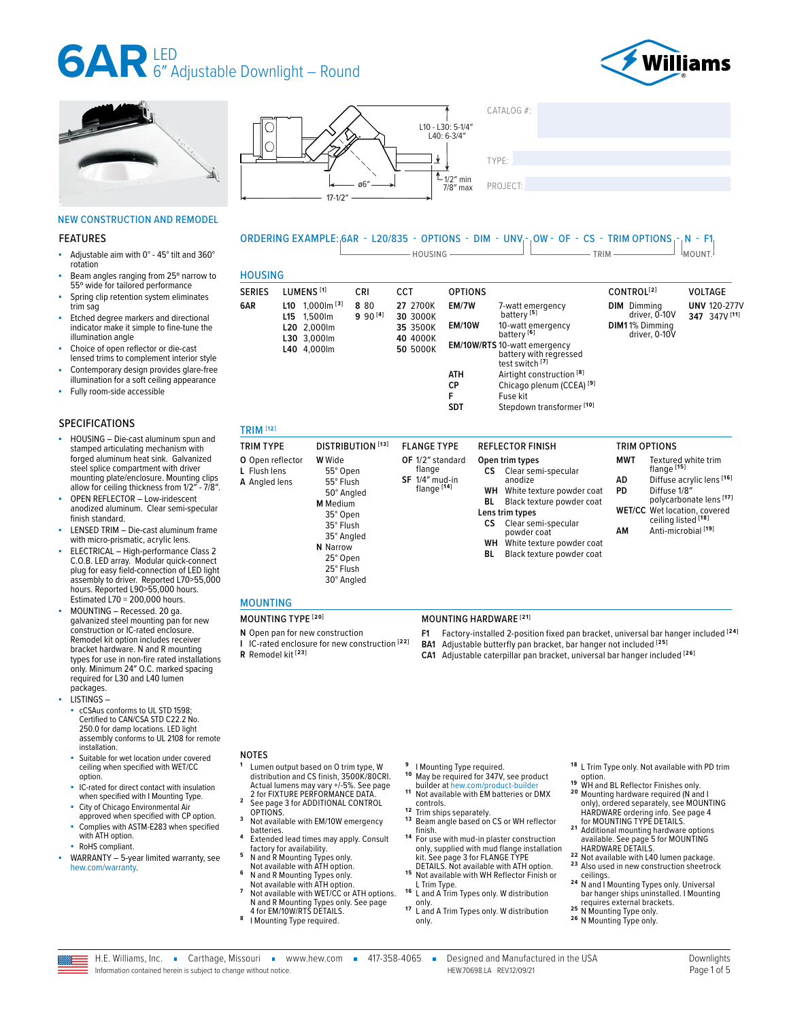



■ Adjustable aim with 0° - 45° tilt and 360°

NEW CONSTRUCTION AND REMODEL

Beam angles ranging from 25° narrow to 55º wide for tailored performance Spring clip retention system eliminates

Etched degree markers and directional indicator make it simple to fine-tune the

■ HOUSING – Die-cast aluminum spun and stamped articulating mechanism with forged aluminum heat sink. Galvanized steel splice compartment with driver mounting plate/enclosure. Mounting clips allow for ceiling thickness from 1/2″ - 7/8″. OPEN REFLECTOR - Low-iridescent anodized aluminum. Clear semi-specular

LENSED TRIM - Die-cast aluminum frame with micro-prismatic, acrylic lens. ELECTRICAL - High-performance Class 2 C.O.B. LED array. Modular quick-connect plug for easy field-connection of LED light assembly to driver. Reported L70>55,000 hours. Reported L90>55,000 hours. Estimated L70 = 200,000 hours.

MOUNTING - Recessed. 20 ga. galvanized steel mounting pan for new construction or IC-rated enclosure. Remodel kit option includes receiver bracket hardware. N and R mounting types for use in non-fire rated installations only. Minimum 24″ O.C. marked spacing required for L30 and L40 lumen

cCSAus conforms to UL STD 1598; Certified to CAN/CSA STD C22.2 No. 250.0 for damp locations. LED light assembly conforms to UL 2108 for remote

Suitable for wet location under covered ceiling when specified with WET/CC

■ IC-rated for direct contact with insulation when specified with I Mounting Type. City of Chicago Environmental Air approved when specified with CP option. Complies with ASTM-E283 when specified

WARRANTY - 5-year limited warranty, see

Choice of open reflector or die-cast lensed trims to complement interior style Contemporary design provides glare-free illumination for a soft ceiling appearance

Fully room-side accessible

FEATURES

rotation

trim sag

illumination angle

SPECIFICATIONS

finish standard.

packages. LISTINGS –

installation.

with ATH option. RoHS compliant.

[hew.com/warranty.](https://www.hew.com/resources/warranty-and-terms)

option.



### TYPE: ����������������������������������������������������

### ORDERING EXAMPLE: 6AR - L20/835 - OPTIONS - DIM - UNV - OW - OF - CS - TRIM OPTIONS  $\begin{bmatrix} N & -F1 \end{bmatrix}$ Mount.

| <b>SERIES</b> | LUMENS <sup>[1]</sup>                        | CRI                  | <b>CCT</b>           | <b>OPTIONS</b> |                                                                                  | CONTROL <sup>[2]</sup>              | <b>VOLTAGE</b>                       |
|---------------|----------------------------------------------|----------------------|----------------------|----------------|----------------------------------------------------------------------------------|-------------------------------------|--------------------------------------|
| 6AR           | $1,000$ lm $^{[3]}$<br>L10<br>1.500lm<br>L15 | 8 8 0<br>$990^{[4]}$ | 27 2700K<br>30 3000K | EM/7W          | 7-watt emergency<br>battery <sup>[5]</sup>                                       | <b>DIM</b> Dimmina<br>driver, 0-10V | <b>UNV 120-277V</b><br>347 347V [11] |
|               | L20 2.000lm<br>L30 3,000lm                   |                      | 35 3500K<br>40 4000K | <b>EM/10W</b>  | 10-watt emergency<br>battery <sup>[6]</sup>                                      | DIM11% Dimming<br>driver, 0-10V     |                                      |
|               | L40 4,000lm                                  |                      | 50 5000K             |                | <b>EM/10W/RTS</b> 10-watt emergency<br>battery with regressed<br>test switch [7] |                                     |                                      |
|               |                                              |                      |                      | ATH            | Airtight construction <sup>[8]</sup>                                             |                                     |                                      |
|               |                                              |                      |                      | СP             | Chicago plenum (CCEA) <sup>[9]</sup>                                             |                                     |                                      |
|               |                                              |                      |                      | F              | Fuse kit                                                                         |                                     |                                      |
|               |                                              |                      |                      | <b>SDT</b>     | Stepdown transformer [10]                                                        |                                     |                                      |

| <b>TRIM TYPE</b>                                  | <b>DISTRIBUTION</b> [13]                                                                                                                                          | <b>FLANGE TYPE</b>                                                       | <b>REFLECTOR FINISH</b>                                                                                                                                                                                                                                             | <b>TRIM OPTIONS</b>                                                                                                                                                                                                                                    |
|---------------------------------------------------|-------------------------------------------------------------------------------------------------------------------------------------------------------------------|--------------------------------------------------------------------------|---------------------------------------------------------------------------------------------------------------------------------------------------------------------------------------------------------------------------------------------------------------------|--------------------------------------------------------------------------------------------------------------------------------------------------------------------------------------------------------------------------------------------------------|
| O Open reflector<br>L Flush lens<br>A Angled lens | <b>W</b> Wide<br>55° Open<br>55° Flush<br>50° Angled<br><b>M</b> Medium<br>35° Open<br>35° Flush<br>35° Angled<br>N Narrow<br>25° Open<br>25° Flush<br>30° Angled | OF 1/2" standard<br>flange<br>$SF$ 1/4" mud-in<br>flange <sup>[14]</sup> | Open trim types<br>Clear semi-specular<br>CS.<br>anodize<br>WН<br>White texture powder coat<br>Black texture powder coat<br>BL<br>Lens trim types<br>СS<br>Clear semi-specular<br>powder coat<br>White texture powder coat<br>WН<br>Black texture powder coat<br>BL | <b>MWT</b><br>Textured white trim<br>flange <sup>[15]</sup><br>Diffuse acrylic lens [16]<br>AD<br>PD.<br>Diffuse 1/8"<br>polycarbonate lens [17]<br><b>WET/CC</b> Wet location, covered<br>ceiling listed [18]<br>Anti-microbial <sup>[19]</sup><br>ΑМ |

#### MOUNTING

- **N** Open pan for new construction **I** IC-rated enclosure for new construction **[22]**
- **R** Remodel kit **[23]**

#### MOUNTING TYPE **[20]** MOUNTING HARDWARE **[21]**

- **F1** Factory-installed 2-position fixed pan bracket, universal bar hanger included **[24]**
- **BA1** Adjustable butterfly pan bracket, bar hanger not included **[25]**
- **CA1** Adjustable caterpillar pan bracket, universal bar hanger included **[26]**

#### **NOTES**

- **<sup>1</sup>** Lumen output based on O trim type, W distribution and CS finish, 3500K/80CRI.
- distribution and C3 millsh, 3300K/80CKI.<br>Actual lumens may vary +/-5%. See page<br>2 for FIXTURE PERFORMANCE DATA. <sup>2</sup> See page 3 for ADDITIONAL CONTROL<br>OPTIONS.
- <sup>3</sup> Not available with EM/10W emergency<br>batteries.
- <sup>4</sup> Extended lead times may apply. Consult factory for availability.
- factory for availability. **<sup>5</sup>** N and R Mounting Types only.
- Not available with ATH option. **<sup>6</sup>** N and R Mounting Types only.
- Not available with ATH option. **<sup>7</sup>** Not available with WET/CC or ATH options. N and R Mounting Types only. [See page](#page-3-0)
- [4 for EM/10W/RTS DETAILS.](#page-3-0) **<sup>8</sup>** I Mounting Type required.
- 
- 
- **9** I Mounting Type required.<br>**10** May be required for 347V, see product<br>builder at hew.com/product-builder... 11 Not available with EM batteries or DMX<br>controls.
- 
- 
- 12 Trim ships separately.<br>
<sup>13</sup> Beam angle based on CS or WH reflector<br>
finish. <sup>14</sup> For use with mud-in plaster construction only, supplied with mud flange installation kit. [See page 3 for FLANGE TYPE](#page-2-1)
- [DETAILS.](#page-2-1) Not available with ATH option.<br>
<sup>15</sup> Not available with WH Reflector Finish or<br>
<sup>15</sup> L Trim Type.
- <sup>16</sup> L and A Trim Types only. W distribution<br>only.
- 17 L and A Trim Types only. W distribution only.
- **<sup>18</sup>** L Trim Type only. Not available with PD trim ontion
- **19** WH and BL Reflector Finishes only.<br>**<sup>20</sup>** Mounting hardware required (N and I<br>moly), ordered separately, see MOUNTING<br>HARDWARE ordering info. See page 4
- [for MOUNTING TYPE DETAILS.](#page-3-1) **2 1** Additional mounting hardware options available. [See page 5 for MOUNTING](#page-4-0)
- 
- 22 Not available with L40 lumen package.<br>
23 Also used in new construction sheetrock<br>
ceilings. <sup>24</sup> N and I Mounting Types only. Universal
- bar hanger ships uninstalled. I Mounting
- requires external brackets. **2 5** N Mounting Type only. **2 6** N Mounting Type only.
-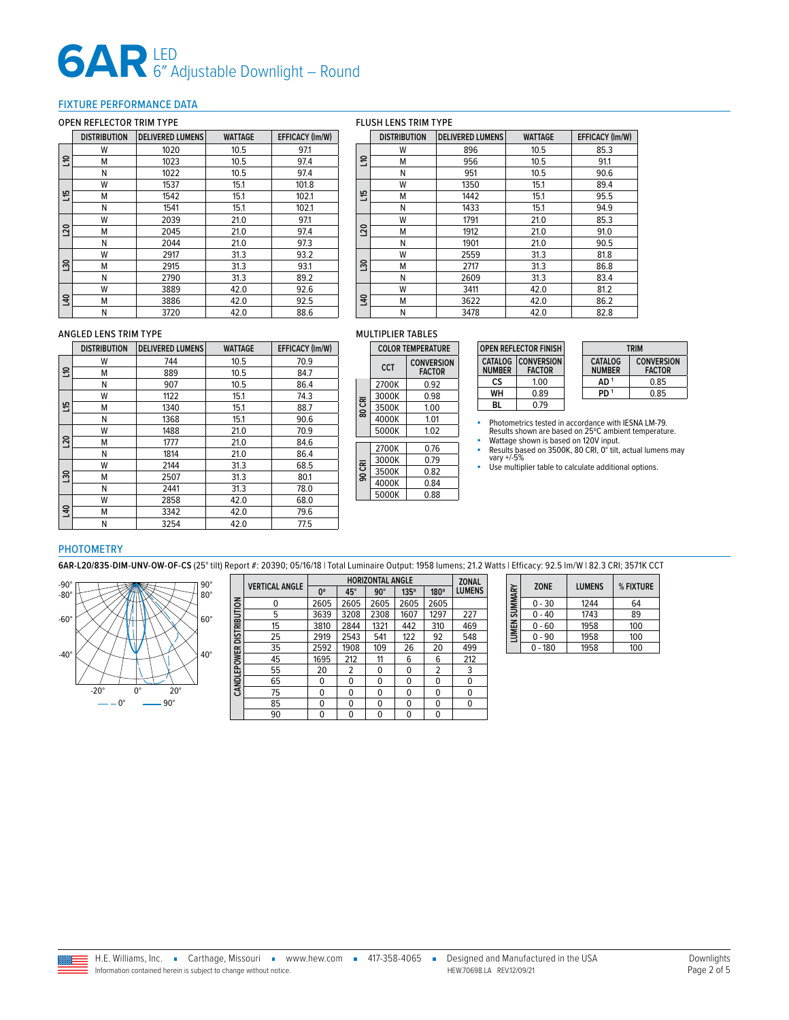#### <span id="page-1-0"></span>FIXTURE PERFORMANCE DATA

#### OPEN REFLECTOR TRIM TYPE

#### FLUSH LENS TRIM TYPE

|                | <b>DISTRIBUTION</b> | <b>DELIVERED LUMENS</b> | <b>WATTAGE</b> | EFFICACY (Im/W) |
|----------------|---------------------|-------------------------|----------------|-----------------|
|                | W                   | 1020                    | 10.5           | 97.1            |
| 응              | м                   | 1023                    | 10.5           | 97.4            |
|                | Ν                   | 1022                    | 10.5           | 97.4            |
|                | W<br>1537           |                         | 15.1           | 101.8           |
| 51             | м                   | 1542                    | 15.1           | 102.1           |
|                | Ν                   | 1541                    | 15.1           | 102.1           |
|                | W                   | 2039                    | 21.0           | 97.1            |
| <b>DZ1</b>     | м                   | 2045                    | 21.0           | 97.4            |
|                | Ν                   | 2044                    | 21.0           | 97.3            |
|                | W                   | 2917                    | 31.3           | 93.2            |
| $\frac{20}{3}$ | М                   | 2915                    | 31.3           | 93.1            |
|                | Ν                   | 2790                    | 31.3           | 89.2            |
|                | W                   | 3889                    | 42.0           | 92.6            |
| 97             | м                   | 3886                    | 42.0           | 92.5            |
|                | N                   | 3720                    | 42.0           | 88.6            |

|                | <b>DELIVERED LUMENS</b><br><b>DISTRIBUTION</b> |      | <b>WATTAGE</b> | <b>EFFICACY (Im/W)</b> |  |
|----------------|------------------------------------------------|------|----------------|------------------------|--|
|                | W                                              | 896  | 10.5           | 85.3                   |  |
| $\Xi$          | M                                              | 956  | 10.5           | 91.1                   |  |
|                | Ν                                              | 951  | 10.5           | 90.6                   |  |
|                | W                                              | 1350 | 15.1           | 89.4                   |  |
| 51             | M                                              | 1442 | 15.1           | 95.5                   |  |
|                | Ν                                              | 1433 | 15.1           | 94.9                   |  |
|                | W                                              | 1791 | 21.0           | 85.3                   |  |
| $\overline{5}$ | м                                              | 1912 | 21.0           | 91.0                   |  |
| Ν              |                                                | 1901 | 21.0           | 90.5                   |  |
|                | W                                              | 2559 | 31.3           | 81.8                   |  |
| $\frac{8}{2}$  | м                                              | 2717 | 31.3           | 86.8                   |  |
|                | Ν                                              | 2609 | 31.3           | 83.4                   |  |
|                | W                                              | 3411 | 42.0           | 81.2                   |  |
| $\overline{a}$ | м                                              | 3622 | 42.0           | 86.2                   |  |
|                | N                                              | 3478 | 42.0           | 82.8                   |  |

#### ANGLED LENS TRIM TYPE

|                | <b>DELIVERED LUMENS</b><br><b>DISTRIBUTION</b> |      | <b>WATTAGE</b> | EFFICACY (Im/W) |
|----------------|------------------------------------------------|------|----------------|-----------------|
|                | W                                              | 744  | 10.5           | 70.9            |
| ៖              | М                                              | 889  | 10.5           | 84.7            |
|                | Ν                                              | 907  | 10.5           | 86.4            |
|                | W                                              | 1122 | 15.1           | 74.3            |
| 쁜              | м                                              | 1340 | 15.1           | 88.7            |
|                | N                                              | 1368 | 15.1           | 90.6            |
|                | W                                              | 1488 | 21.0           | 70.9            |
| <b>DZ1</b>     | м                                              | 1777 | 21.0           | 84.6            |
|                | Ν                                              | 1814 | 21.0           | 86.4            |
|                | W                                              | 2144 | 31.3           | 68.5            |
| <b>SCT</b>     | М                                              | 2507 | 31.3           | 80.1            |
|                | Ν                                              | 2441 | 31.3           | 78.0            |
|                | W                                              | 2858 | 42.0           | 68.0            |
| $\overline{a}$ | м                                              | 3342 | 42.0           | 79.6            |
|                | N                                              | 3254 | 42.0           | 77.5            |

#### MULTIPLIER TABLES

|        |       | <b>COLOR TEMPERATURE</b>           |
|--------|-------|------------------------------------|
|        | CCT   | <b>CONVERSION</b><br><b>FACTOR</b> |
|        | 2700K | 0.92                               |
|        | 3000K | 0.98                               |
| 80 CRI | 3500K | 1.00                               |
|        | 4000K | 1.01                               |
|        | 5000K | 1.02                               |
|        | 2700K | 0.76                               |
|        | 3000K | 0.79                               |
| 90 CRI | 3500K | 0.82                               |
|        | 4000K | 0.84                               |
|        | 5000K | 0.88                               |
|        |       |                                    |

|               | <b>OPEN REFLECTOR FINISH</b>               |                          |
|---------------|--------------------------------------------|--------------------------|
| <b>NUMBER</b> | <b>CATALOG CONVERSION</b><br><b>FACTOR</b> | CATALOG<br><b>NUMBER</b> |
| СS            | 1.00                                       | AD <sup>1</sup>          |
| WН            | 0.89                                       | PD <sup>1</sup>          |
| Bl            | 0.79                                       |                          |

| <b>TRIM</b>              |                                    |  |  |  |  |
|--------------------------|------------------------------------|--|--|--|--|
| CATALOG<br><b>NUMBER</b> | <b>CONVERSION</b><br><b>FACTOR</b> |  |  |  |  |
| AD <sup>1</sup>          | 0.85                               |  |  |  |  |
| PD <sup>1</sup>          | 0.85                               |  |  |  |  |

■ Photometrics tested in accordance with IESNA LM-79.<br>■ Results shown are based on 25°C ambient temperature.<br>■ Wattage shown is based on 120V input.<br>■ Results based on 3500K, 80 CRI, 0° tilt, actual lumens may

vary +/-5%

■ Use multiplier table to calculate additional options.

#### PHOTOMETRY

**6AR-L20/835-DIM-UNV-OW-OF-CS** (25° tilt) Report #: 20390; 05/16/18 | Total Luminaire Output: 1958 lumens; 21.2 Watts | Efficacy: 92.5 lm/W | 82.3 CRI; 3571K CCT



|                     | <b>VERTICAL ANGLE</b> |             | <b>ZONAL</b> |            |             |                |               |
|---------------------|-----------------------|-------------|--------------|------------|-------------|----------------|---------------|
|                     |                       | $0^{\circ}$ | 45°          | $90^\circ$ | $135^\circ$ | 180°           | <b>LUMENS</b> |
| <b>DISTRIBUTION</b> | 0                     | 2605        | 2605         | 2605       | 2605        | 2605           |               |
|                     | 5                     | 3639        | 3208         | 2308       | 1607        | 1297           | 227           |
|                     | 15                    | 3810        | 2844         | 1321       | 442         | 310            | 469           |
|                     | 25                    | 2919        | 2543         | 541        | 122         | 92             | 548           |
|                     | 35                    | 2592        | 1908         | 109        | 26          | 20             | 499           |
|                     | 45                    | 1695        | 212          | 11         | 6           | 6              | 212           |
| <b>CANDLEPOWER</b>  | 55                    | 20          | 2            | 0          | 0           | $\overline{2}$ | 3             |
|                     | 65                    | 0           | 0            | 0          | 0           | 0              | 0             |
|                     | 75                    | 0           | 0            | $\Omega$   | $\Omega$    | $\Omega$       | $\Omega$      |
|                     | 85                    | 0           | $\Omega$     | $\Omega$   | 0           | 0              | 0             |
|                     | 90                    | 0           | 0            | 0          | 0           | 0              |               |

| LUMEN SUMMARY | <b>ZONE</b> | <b>LUMENS</b> | % FIXTURE |
|---------------|-------------|---------------|-----------|
|               | $0 - 30$    | 1244          | 64        |
|               | 0 - 40      | 1743          | 89        |
|               | 0 - 60      | 1958          | 100       |
|               | $0 - 90$    | 1958          | 100       |
|               | $0 - 180$   | 1958          | 100       |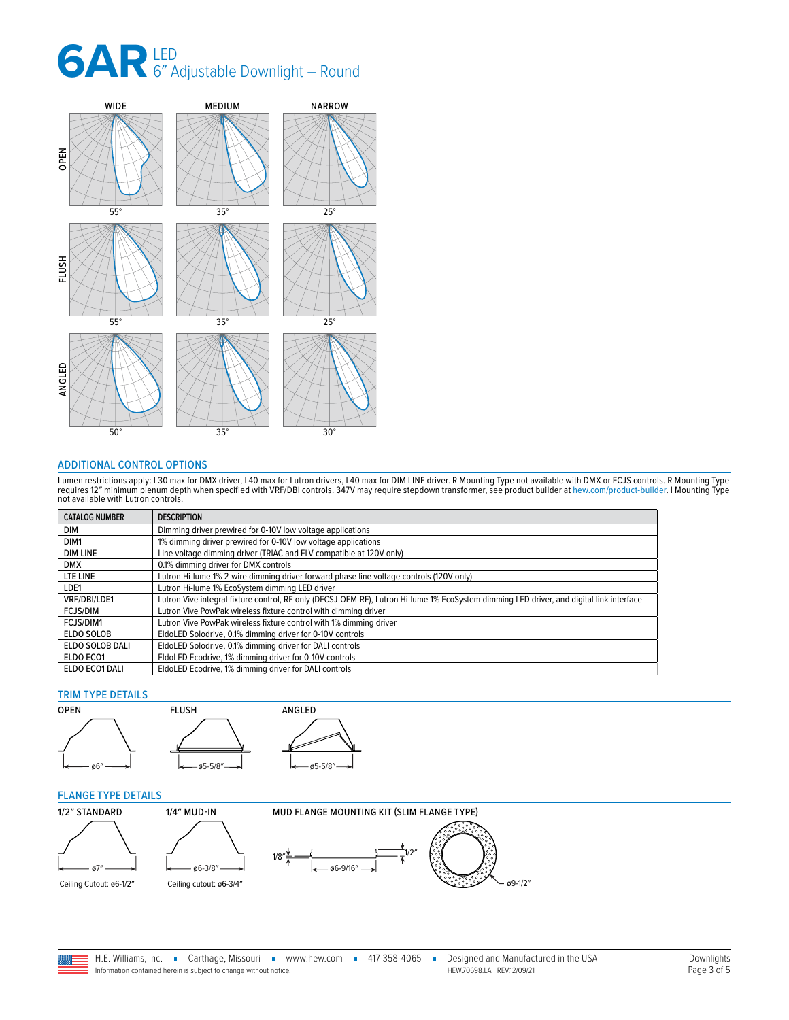

#### <span id="page-2-0"></span>ADDITIONAL CONTROL OPTIONS

Lumen restrictions apply: L30 max for DMX driver, L40 max for Lutron drivers, L40 max for DIM LINE driver. R Mounting Type not available with DMX or FCJS controls. R Mounting Type<br>requires 12″ minimum plenum depth when spe

| <b>CATALOG NUMBER</b> | <b>DESCRIPTION</b>                                                                                                                       |
|-----------------------|------------------------------------------------------------------------------------------------------------------------------------------|
| DIM                   | Dimming driver prewired for 0-10V low voltage applications                                                                               |
| DIM1                  | 1% dimming driver prewired for 0-10V low voltage applications                                                                            |
| <b>DIM LINE</b>       | Line voltage dimming driver (TRIAC and ELV compatible at 120V only)                                                                      |
| <b>DMX</b>            | 0.1% dimming driver for DMX controls                                                                                                     |
| LTE LINE              | Lutron Hi-lume 1% 2-wire dimming driver forward phase line voltage controls (120V only)                                                  |
| LDE1                  | Lutron Hi-lume 1% EcoSystem dimming LED driver                                                                                           |
| VRF/DBI/LDE1          | Lutron Vive integral fixture control, RF only (DFCSJ-OEM-RF), Lutron Hi-lume 1% EcoSystem dimming LED driver, and digital link interface |
| <b>FCJS/DIM</b>       | Lutron Vive PowPak wireless fixture control with dimming driver                                                                          |
| FCJS/DIM1             | Lutron Vive PowPak wireless fixture control with 1% dimming driver                                                                       |
| ELDO SOLOB            | EldoLED Solodrive, 0.1% dimming driver for 0-10V controls                                                                                |
| ELDO SOLOB DALI       | EldoLED Solodrive, 0.1% dimming driver for DALI controls                                                                                 |
| ELDO ECO1             | EldoLED Ecodrive, 1% dimming driver for 0-10V controls                                                                                   |
| ELDO ECO1 DALI        | EldoLED Ecodrive, 1% dimming driver for DALI controls                                                                                    |

#### TRIM TYPE DETAILS





#### <span id="page-2-1"></span>FLANGE TYPE DETAILS



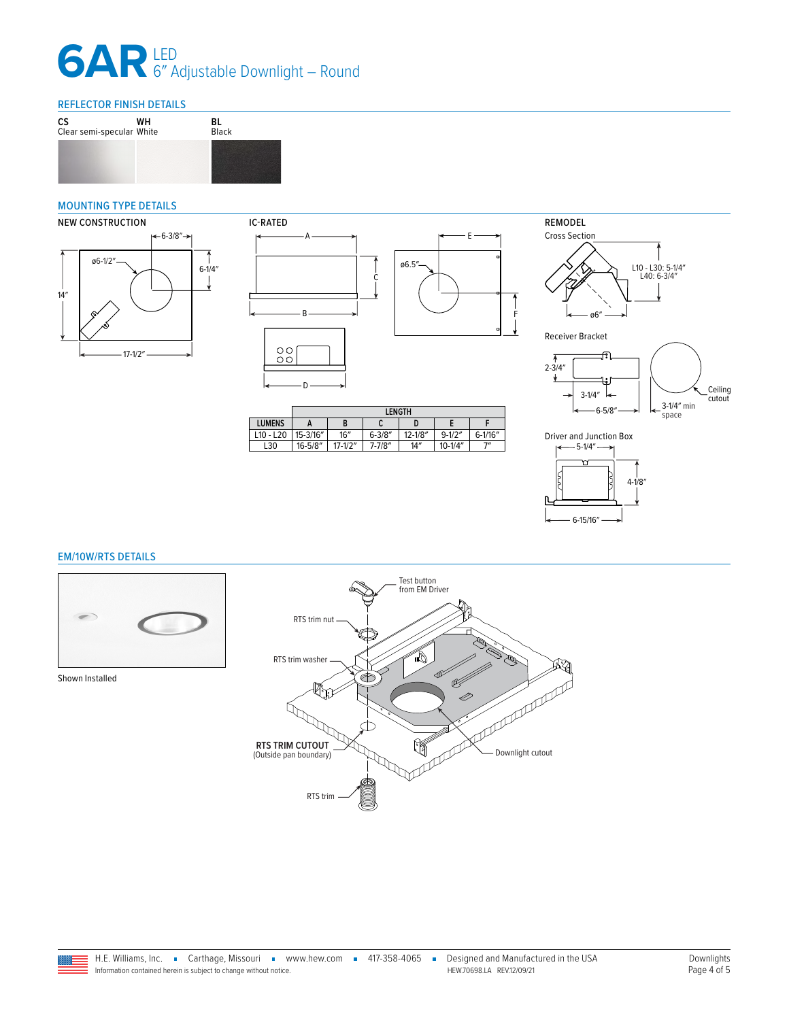### REFLECTOR FINISH DETAILS



#### <span id="page-3-1"></span>MOUNTING TYPE DETAILS





|               | <b>LENGTH</b> |             |             |             |             |              |
|---------------|---------------|-------------|-------------|-------------|-------------|--------------|
| <b>LUMENS</b> |               | в           | v           |             |             |              |
| $L10 - L20$   | 15-3/16"      | 16''        | $6 - 3/8''$ | $12 - 1/8"$ | $9 - 1/2"$  | $6 - 1/16''$ |
| L30           | $16 - 5/8"$   | $17 - 1/2"$ | $7 - 7/8''$ | 14''        | $10 - 1/4"$ | יי           |







F



#### <span id="page-3-0"></span>EM/10W/RTS DETAILS



Shown Installed